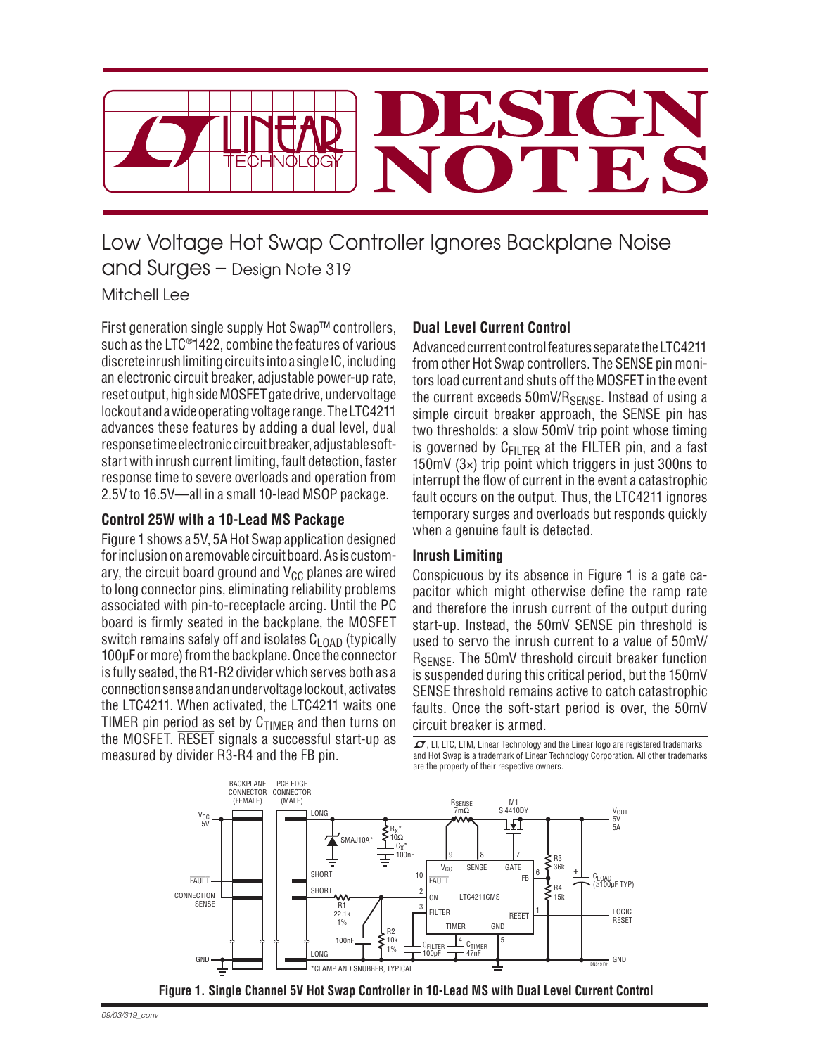

# Low Voltage Hot Swap Controller Ignores Backplane Noise and Surges – Design Note 319 Mitchell Lee

First generation single supply Hot Swap™ controllers, such as the LTC®1422, combine the features of various discrete in rush limiting circuits into a single IC, including an electronic circuit breaker, adjustable power-up rate, reset output, high side MOSFET gate drive, undervoltage lockout and a wide operating voltage range. The LTC4211 advances these features by adding a dual level, dual response time electronic circuit breaker, adjustable softstart with inrush current limiting, fault detection, faster re sponse time to severe overloads and operation from 2.5V to 16.5V—all in a small 10-lead MSOP package.

#### **Control 25W with a 10-Lead MS Package**

Figure 1 shows a 5V, 5A Hot Swap application designed for inclusion on a removable circuit board. As is customary, the circuit board ground and  $V_{CC}$  planes are wired to long connector pins, eliminating reliability problems associated with pin-to-receptacle arcing. Until the PC board is firmly seated in the backplane, the MOSFET switch remains safely off and isolates  $C_{L<sub>0</sub>AA}$  (typically 100μF or more) from the backplane. Once the connector is fully seated, the R1-R2 divider which serves both as a connection sense and an undervoltage lockout, activates the LTC4211. When activated, the LTC4211 waits one TIMER pin period as set by  $C_{\text{TIMFR}}$  and then turns on the MOSFET. RESET signals a successful start-up as measured by divider R3-R4 and the FB pin.

## **Dual Level Current Control**

Advanced current control features separate the LTC4211 from other Hot Swap controllers. The SENSE pin monitors load current and shuts off the MOSFET in the event the current exceeds  $50mV/R<sub>SENSF</sub>$ . Instead of using a simple circuit breaker approach, the SENSE pin has two thresholds: a slow 50mV trip point whose timing is governed by  $C_{\text{FII TFR}}$  at the FILTER pin, and a fast 150mV (3×) trip point which triggers in just 300ns to interrupt the flow of current in the event a catastrophic fault occurs on the output. Thus, the LTC4211 ignores temporary surges and overloads but responds quickly when a genuine fault is detected.

#### **Inrush Limiting**

Conspicuous by its absence in Figure 1 is a gate capacitor which might otherwise define the ramp rate and therefore the inrush current of the output during start-up. Instead, the 50mV SENSE pin threshold is used to servo the inrush current to a value of 50mV/ R<sub>SFNSF</sub>. The 50mV threshold circuit breaker function is suspended during this critical period, but the 150mV SENSE threshold remains active to catch catastrophic faults. Once the soft-start period is over, the 50mV circuit breaker is armed.

 $\sqrt{27}$ , LT, LTC, LTM, Linear Technology and the Linear logo are registered trademarks and Hot Swap is a trademark of Linear Technology Corporation. All other trademarks are the property of their respective owners.



 **Figure 1. Single Channel 5V Hot Swap Controller in 10-Lead MS with Dual Level Current Control**